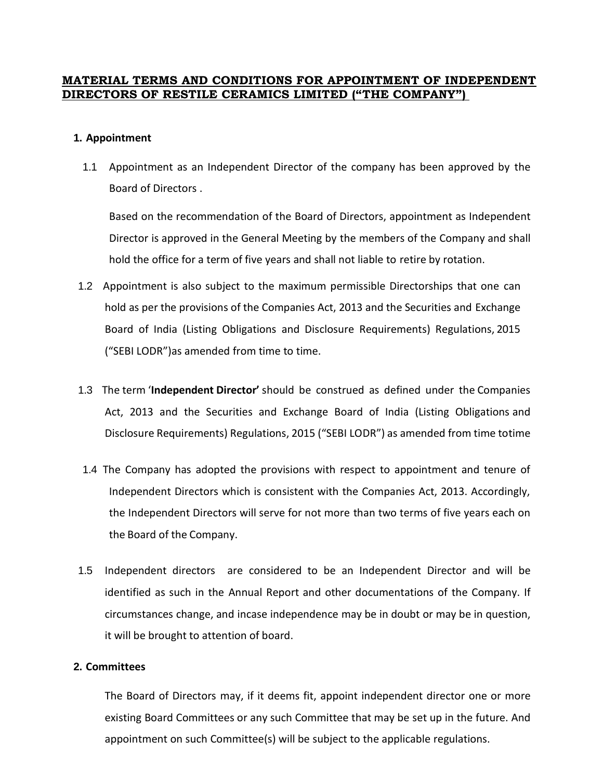# **MATERIAL TERMS AND CONDITIONS FOR APPOINTMENT OF INDEPENDENT DIRECTORS OF RESTILE CERAMICS LIMITED ("THE COMPANY")**

### **1. Appointment**

1.1 Appointment as an Independent Director of the company has been approved by the Board of Directors .

Based on the recommendation of the Board of Directors, appointment as Independent Director is approved in the General Meeting by the members of the Company and shall hold the office for a term of five years and shall not liable to retire by rotation.

- 1.2 Appointment is also subject to the maximum permissible Directorships that one can hold as per the provisions of the Companies Act, 2013 and the Securities and Exchange Board of India (Listing Obligations and Disclosure Requirements) Regulations, 2015 ("SEBI LODR")as amended from time to time.
- 1.3 The term '**Independent Director'** should be construed as defined under the Companies Act, 2013 and the Securities and Exchange Board of India (Listing Obligations and Disclosure Requirements) Regulations, 2015 ("SEBI LODR") as amended from time totime
- 1.4 The Company has adopted the provisions with respect to appointment and tenure of Independent Directors which is consistent with the Companies Act, 2013. Accordingly, the Independent Directors will serve for not more than two terms of five years each on the Board of the Company.
- 1.5 Independent directors are considered to be an Independent Director and will be identified as such in the Annual Report and other documentations of the Company. If circumstances change, and incase independence may be in doubt or may be in question, it will be brought to attention of board.

## **2. Committees**

The Board of Directors may, if it deems fit, appoint independent director one or more existing Board Committees or any such Committee that may be set up in the future. And appointment on such Committee(s) will be subject to the applicable regulations.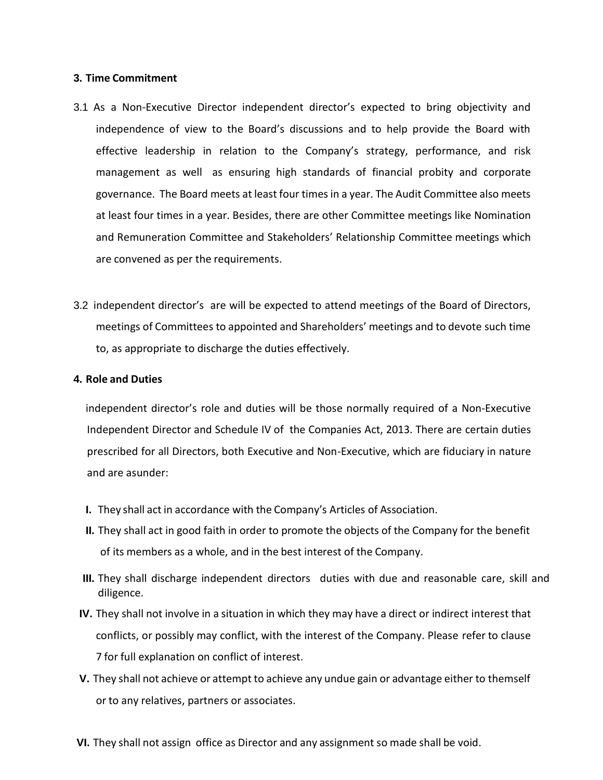### **3. Time Commitment**

- 3.1 As a Non-Executive Director independent director's expected to bring objectivity and independence of view to the Board's discussions and to help provide the Board with effective leadership in relation to the Company's strategy, performance, and risk management as well as ensuring high standards of financial probity and corporate governance. The Board meets at least four times in a year. The Audit Committee also meets at least four times in a year. Besides, there are other Committee meetings like Nomination and Remuneration Committee and Stakeholders' Relationship Committee meetings which are convened as per the requirements.
- 3.2 independent director's are will be expected to attend meetings of the Board of Directors, meetings of Committees to appointed and Shareholders' meetings and to devote such time to, as appropriate to discharge the duties effectively.

## **4. Role and Duties**

independent director's role and duties will be those normally required of a Non-Executive Independent Director and Schedule IV of the Companies Act, 2013. There are certain duties prescribed for all Directors, both Executive and Non-Executive, which are fiduciary in nature and are asunder:

- **I.** They shall act in accordance with the Company's Articles of Association.
- **II.** They shall act in good faith in order to promote the objects of the Company for the benefit of its members as a whole, and in the best interest of the Company.
- **III.** They shall discharge independent directors duties with due and reasonable care, skill and diligence.
- **IV.** They shall not involve in a situation in which they may have a direct or indirect interest that conflicts, or possibly may conflict, with the interest of the Company. Please refer to clause 7 for full explanation on conflict of interest.
- **V.** They shall not achieve or attempt to achieve any undue gain or advantage either to themself or to any relatives, partners or associates.
- **VI.** They shall not assign office as Director and any assignment so made shall be void.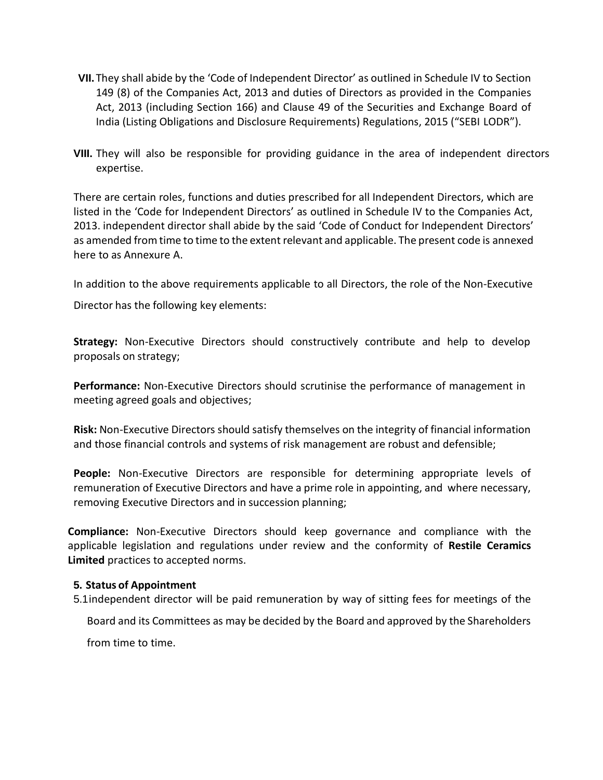- **VII.** They shall abide by the 'Code of Independent Director' as outlined in Schedule IV to Section 149 (8) of the Companies Act, 2013 and duties of Directors as provided in the Companies Act, 2013 (including Section 166) and Clause 49 of the Securities and Exchange Board of India (Listing Obligations and Disclosure Requirements) Regulations, 2015 ("SEBI LODR").
- **VIII.** They will also be responsible for providing guidance in the area of independent directors expertise.

There are certain roles, functions and duties prescribed for all Independent Directors, which are listed in the 'Code for Independent Directors' as outlined in Schedule IV to the Companies Act, 2013. independent director shall abide by the said 'Code of Conduct for Independent Directors' as amended from time to time to the extent relevant and applicable. The present code is annexed here to as Annexure A.

In addition to the above requirements applicable to all Directors, the role of the Non-Executive

Director has the following key elements:

**Strategy:** Non-Executive Directors should constructively contribute and help to develop proposals on strategy;

**Performance:** Non-Executive Directors should scrutinise the performance of management in meeting agreed goals and objectives;

**Risk:** Non-Executive Directors should satisfy themselves on the integrity of financial information and those financial controls and systems of risk management are robust and defensible;

**People:** Non-Executive Directors are responsible for determining appropriate levels of remuneration of Executive Directors and have a prime role in appointing, and where necessary, removing Executive Directors and in succession planning;

**Compliance:** Non-Executive Directors should keep governance and compliance with the applicable legislation and regulations under review and the conformity of **Restile Ceramics Limited** practices to accepted norms.

## **5. Status of Appointment**

5.1independent director will be paid remuneration by way of sitting fees for meetings of the

Board and its Committees as may be decided by the Board and approved by the Shareholders

from time to time.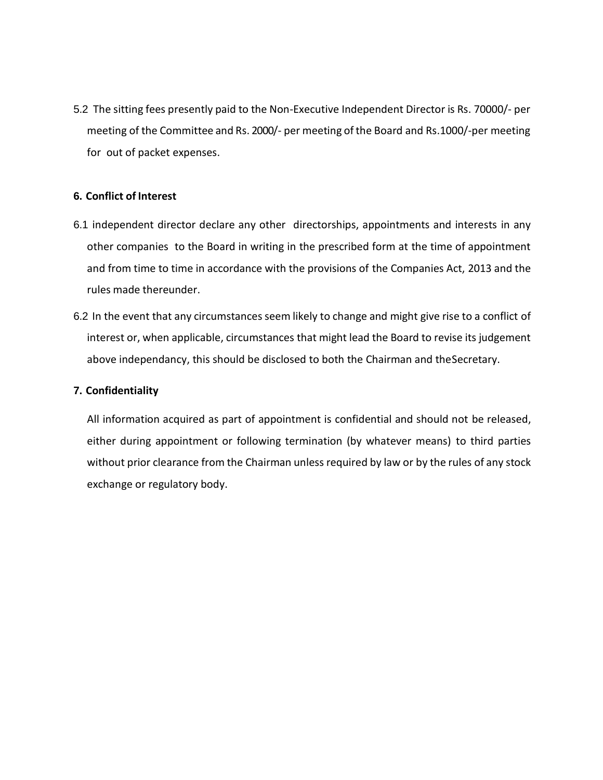5.2 The sitting fees presently paid to the Non-Executive Independent Director is Rs. 70000/- per meeting of the Committee and Rs. 2000/- per meeting ofthe Board and Rs.1000/-per meeting for out of packet expenses.

## **6. Conflict of Interest**

- 6.1 independent director declare any other directorships, appointments and interests in any other companies to the Board in writing in the prescribed form at the time of appointment and from time to time in accordance with the provisions of the Companies Act, 2013 and the rules made thereunder.
- 6.2 In the event that any circumstances seem likely to change and might give rise to a conflict of interest or, when applicable, circumstances that might lead the Board to revise its judgement above independancy, this should be disclosed to both the Chairman and theSecretary.

## **7. Confidentiality**

All information acquired as part of appointment is confidential and should not be released, either during appointment or following termination (by whatever means) to third parties without prior clearance from the Chairman unless required by law or by the rules of any stock exchange or regulatory body.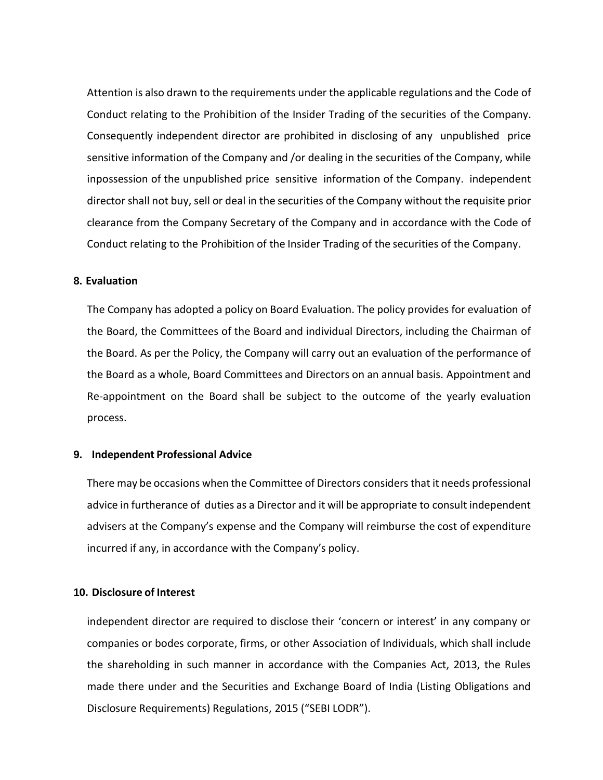Attention is also drawn to the requirements under the applicable regulations and the Code of Conduct relating to the Prohibition of the Insider Trading of the securities of the Company. Consequently independent director are prohibited in disclosing of any unpublished price sensitive information of the Company and /or dealing in the securities of the Company, while inpossession of the unpublished price sensitive information of the Company. independent director shall not buy, sell or deal in the securities of the Company without the requisite prior clearance from the Company Secretary of the Company and in accordance with the Code of Conduct relating to the Prohibition of the Insider Trading of the securities of the Company.

#### **8. Evaluation**

The Company has adopted a policy on Board Evaluation. The policy provides for evaluation of the Board, the Committees of the Board and individual Directors, including the Chairman of the Board. As per the Policy, the Company will carry out an evaluation of the performance of the Board as a whole, Board Committees and Directors on an annual basis. Appointment and Re-appointment on the Board shall be subject to the outcome of the yearly evaluation process.

### **9. Independent Professional Advice**

There may be occasions when the Committee of Directors considersthat it needs professional advice in furtherance of duties as a Director and it will be appropriate to consult independent advisers at the Company's expense and the Company will reimburse the cost of expenditure incurred if any, in accordance with the Company's policy.

#### **10. Disclosure of Interest**

independent director are required to disclose their 'concern or interest' in any company or companies or bodes corporate, firms, or other Association of Individuals, which shall include the shareholding in such manner in accordance with the Companies Act, 2013, the Rules made there under and the Securities and Exchange Board of India (Listing Obligations and Disclosure Requirements) Regulations, 2015 ("SEBI LODR").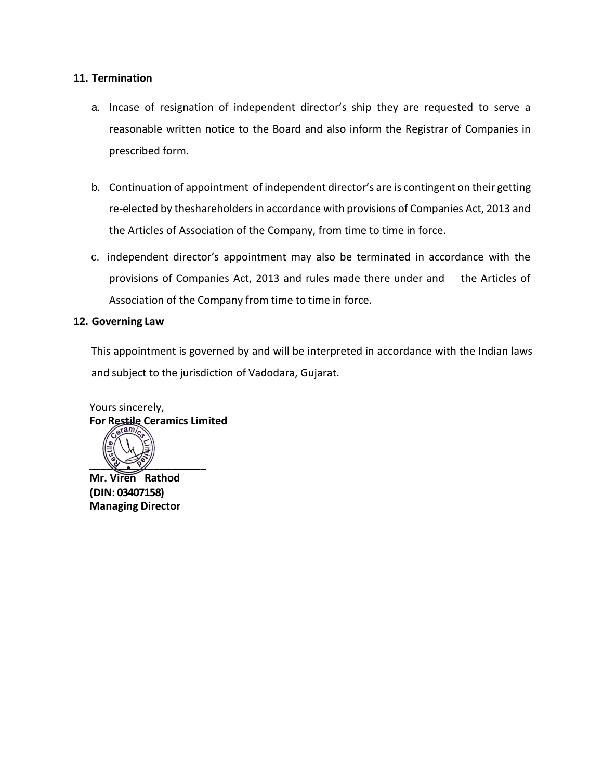## **11. Termination**

- a. Incase of resignation of independent director's ship they are requested to serve a reasonable written notice to the Board and also inform the Registrar of Companies in prescribed form.
- b. Continuation of appointment of independent director's are is contingent on their getting re-elected by theshareholders in accordance with provisions of Companies Act, 2013 and the Articles of Association of the Company, from time to time in force.
- c. independent director's appointment may also be terminated in accordance with the provisions of Companies Act, 2013 and rules made there under and the Articles of Association of the Company from time to time in force.

### **12. Governing Law**

This appointment is governed by and will be interpreted in accordance with the Indian laws and subject to the jurisdiction of Vadodara, Gujarat.

Yours sincerely, **For Restile Ceramics Limited**



**Mr. Viren Rathod (DIN: 03407158) Managing Director**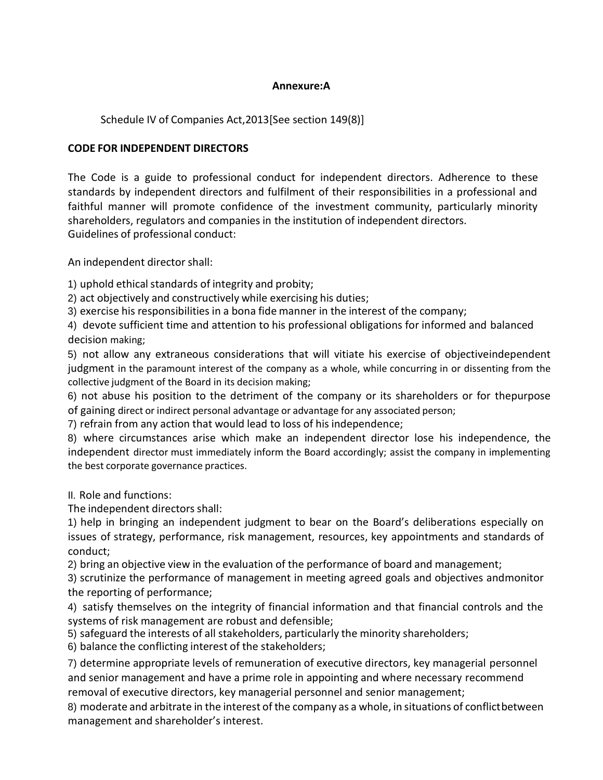## **Annexure:A**

Schedule IV of Companies Act,2013[See section 149(8)]

# **CODE FOR INDEPENDENT DIRECTORS**

The Code is a guide to professional conduct for independent directors. Adherence to these standards by independent directors and fulfilment of their responsibilities in a professional and faithful manner will promote confidence of the investment community, particularly minority shareholders, regulators and companies in the institution of independent directors. Guidelines of professional conduct:

An independent director shall:

1) uphold ethical standards of integrity and probity;

2) act objectively and constructively while exercising his duties;

3) exercise his responsibilities in a bona fide manner in the interest of the company;

4) devote sufficient time and attention to his professional obligations for informed and balanced decision making;

5) not allow any extraneous considerations that will vitiate his exercise of objectiveindependent judgment in the paramount interest of the company as a whole, while concurring in or dissenting from the collective judgment of the Board in its decision making;

6) not abuse his position to the detriment of the company or its shareholders or for thepurpose of gaining direct or indirect personal advantage or advantage for any associated person;

7) refrain from any action that would lead to loss of his independence;

8) where circumstances arise which make an independent director lose his independence, the independent director must immediately inform the Board accordingly; assist the company in implementing the best corporate governance practices.

II. Role and functions:

The independent directors shall:

1) help in bringing an independent judgment to bear on the Board's deliberations especially on issues of strategy, performance, risk management, resources, key appointments and standards of conduct;

2) bring an objective view in the evaluation of the performance of board and management;

3) scrutinize the performance of management in meeting agreed goals and objectives andmonitor the reporting of performance;

4) satisfy themselves on the integrity of financial information and that financial controls and the systems of risk management are robust and defensible;

5) safeguard the interests of all stakeholders, particularly the minority shareholders;

6) balance the conflicting interest of the stakeholders;

7) determine appropriate levels of remuneration of executive directors, key managerial personnel and senior management and have a prime role in appointing and where necessary recommend removal of executive directors, key managerial personnel and senior management;

8) moderate and arbitrate in the interest of the company as a whole, in situations of conflictbetween management and shareholder's interest.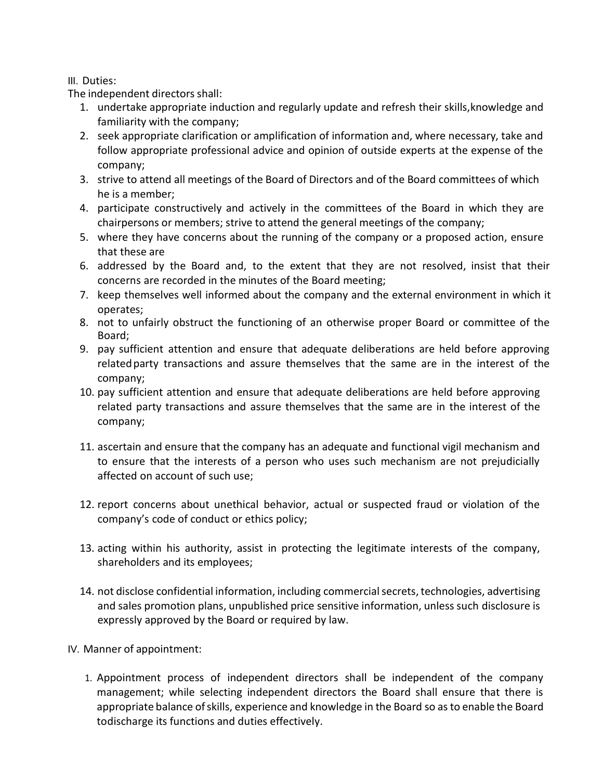# III. Duties:

The independent directors shall:

- 1. undertake appropriate induction and regularly update and refresh their skills,knowledge and familiarity with the company;
- 2. seek appropriate clarification or amplification of information and, where necessary, take and follow appropriate professional advice and opinion of outside experts at the expense of the company;
- 3. strive to attend all meetings of the Board of Directors and of the Board committees of which he is a member;
- 4. participate constructively and actively in the committees of the Board in which they are chairpersons or members; strive to attend the general meetings of the company;
- 5. where they have concerns about the running of the company or a proposed action, ensure that these are
- 6. addressed by the Board and, to the extent that they are not resolved, insist that their concerns are recorded in the minutes of the Board meeting;
- 7. keep themselves well informed about the company and the external environment in which it operates;
- 8. not to unfairly obstruct the functioning of an otherwise proper Board or committee of the Board;
- 9. pay sufficient attention and ensure that adequate deliberations are held before approving relatedparty transactions and assure themselves that the same are in the interest of the company;
- 10. pay sufficient attention and ensure that adequate deliberations are held before approving related party transactions and assure themselves that the same are in the interest of the company;
- 11. ascertain and ensure that the company has an adequate and functional vigil mechanism and to ensure that the interests of a person who uses such mechanism are not prejudicially affected on account of such use;
- 12. report concerns about unethical behavior, actual or suspected fraud or violation of the company's code of conduct or ethics policy;
- 13. acting within his authority, assist in protecting the legitimate interests of the company, shareholders and its employees;
- 14. not disclose confidential information, including commercial secrets, technologies, advertising and sales promotion plans, unpublished price sensitive information, unless such disclosure is expressly approved by the Board or required by law.
- IV. Manner of appointment:
	- 1. Appointment process of independent directors shall be independent of the company management; while selecting independent directors the Board shall ensure that there is appropriate balance ofskills, experience and knowledge in the Board so as to enable the Board todischarge its functions and duties effectively.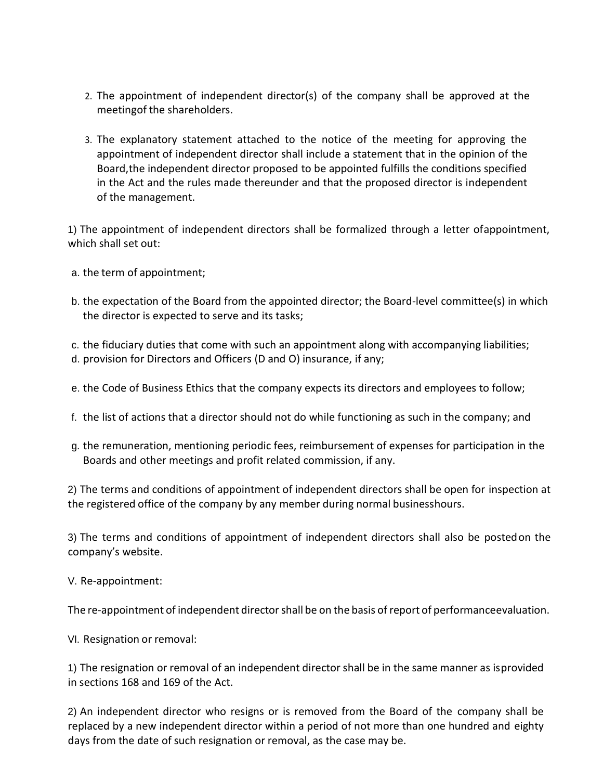- 2. The appointment of independent director(s) of the company shall be approved at the meetingof the shareholders.
- 3. The explanatory statement attached to the notice of the meeting for approving the appointment of independent director shall include a statement that in the opinion of the Board,the independent director proposed to be appointed fulfills the conditions specified in the Act and the rules made thereunder and that the proposed director is independent of the management.

1) The appointment of independent directors shall be formalized through a letter ofappointment, which shall set out:

- a. the term of appointment;
- b. the expectation of the Board from the appointed director; the Board-level committee(s) in which the director is expected to serve and its tasks;

c. the fiduciary duties that come with such an appointment along with accompanying liabilities; d. provision for Directors and Officers (D and O) insurance, if any;

- e. the Code of Business Ethics that the company expects its directors and employees to follow;
- f. the list of actions that a director should not do while functioning as such in the company; and
- g. the remuneration, mentioning periodic fees, reimbursement of expenses for participation in the Boards and other meetings and profit related commission, if any.

2) The terms and conditions of appointment of independent directors shall be open for inspection at the registered office of the company by any member during normal businesshours.

3) The terms and conditions of appointment of independent directors shall also be postedon the company's website.

V. Re-appointment:

The re-appointment of independent director shall be on the basis of report of performanceevaluation.

VI. Resignation or removal:

1) The resignation or removal of an independent director shall be in the same manner as isprovided in sections 168 and 169 of the Act.

2) An independent director who resigns or is removed from the Board of the company shall be replaced by a new independent director within a period of not more than one hundred and eighty days from the date of such resignation or removal, as the case may be.